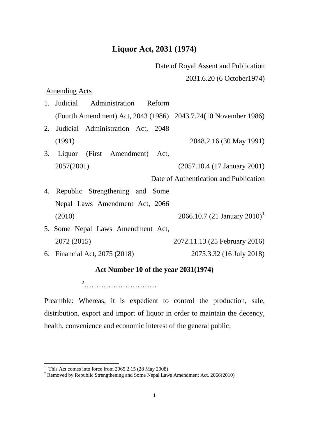## **Liquor Act, 2031 (1974)**

## Date of Royal Assent and Publication

2031.6.20 (6 October1974)

Amending Acts

|    | 1. Judicial Administration Reform                               |                                          |
|----|-----------------------------------------------------------------|------------------------------------------|
|    | (Fourth Amendment) Act, 2043 (1986) 2043.7.24(10 November 1986) |                                          |
| 2. | Judicial Administration Act, 2048                               |                                          |
|    | (1991)                                                          | 2048.2.16 (30 May 1991)                  |
| 3. | Liquor (First Amendment)<br>Act,                                |                                          |
|    | 2057(2001)                                                      | $(2057.10.4 (17)$ January 2001)          |
|    |                                                                 | Date of Authentication and Publication   |
|    | 4. Republic Strengthening and Some                              |                                          |
|    | Nepal Laws Amendment Act, 2066                                  |                                          |
|    | (2010)                                                          | 2066.10.7 (21 January 2010) <sup>1</sup> |
|    | 5. Some Nepal Laws Amendment Act,                               |                                          |
|    | 2072 (2015)                                                     | 2072.11.13 (25 February 2016)            |
|    | 6. Financial Act, 2075 (2018)                                   | 2075.3.32 (16 July 2018)                 |
|    |                                                                 |                                          |

## **Act Number 10 of the year 2031(1974)**

[2](#page-0-1) …………………………

Preamble: Whereas, it is expedient to control the production, sale, distribution, export and import of liquor in order to maintain the decency, health, convenience and economic interest of the general public;

<span id="page-0-1"></span><span id="page-0-0"></span><sup>&</sup>lt;sup>1</sup> This Act comes into force from 2065.2.15 (28 May 2008)<br><sup>2</sup> Removed by Republic Strengthening and Some Nepal Laws Amendment Act, 2066(2010)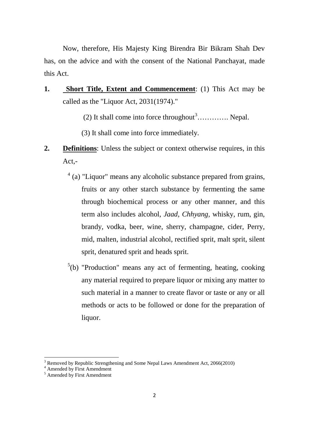Now, therefore, His Majesty King Birendra Bir Bikram Shah Dev has, on the advice and with the consent of the National Panchayat, made this Act.

- **1. Short Title, Extent and Commencement**: (1) This Act may be called as the "Liquor Act, 2031(1974)."
	- (2) It shall come into force throughout<sup>[3](#page-1-0)</sup>.............. Nepal.
	- (3) It shall come into force immediately.
- **2. Definitions**: Unless the subject or context otherwise requires, in this Act,-
	- [4](#page-1-1) (a) "Liquor" means any alcoholic substance prepared from grains, fruits or any other starch substance by fermenting the same through biochemical process or any other manner, and this term also includes alcohol, *Jaad*, *Chhyang*, whisky, rum, gin, brandy, vodka, beer, wine, sherry, champagne, cider, Perry, mid, malten, industrial alcohol, rectified sprit, malt sprit, silent sprit, denatured sprit and heads sprit.
	- $5(b)$  $5(b)$  "Production" means any act of fermenting, heating, cooking any material required to prepare liquor or mixing any matter to such material in a manner to create flavor or taste or any or all methods or acts to be followed or done for the preparation of liquor.

 $\overline{a}$ 

 $3$  Removed by Republic Strengthening and Some Nepal Laws Amendment Act, 2066(2010)

<span id="page-1-1"></span><span id="page-1-0"></span><sup>&</sup>lt;sup>4</sup> Amended by First Amendment

<span id="page-1-2"></span> $5 \nA$ mended by First Amendment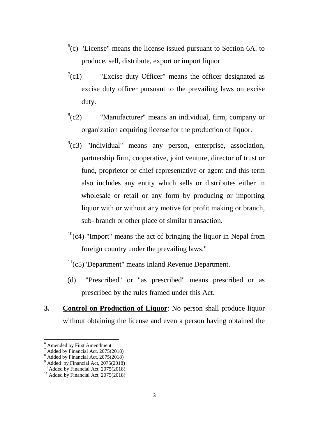- $<sup>6</sup>(c)$  $<sup>6</sup>(c)$  $<sup>6</sup>(c)$  'License'' means the license issued pursuant to Section 6A. to</sup> produce, sell, distribute, export or import liquor.
- $\int$ <sup>[7](#page-2-1)</sup>(c1) "Excise duty Officer" means the officer designated as excise duty officer pursuant to the prevailing laws on excise duty.
- $^{8}$  $^{8}$  $^{8}$ (c2) "Manufacturer" means an individual, firm, company or organization acquiring license for the production of liquor.
- $9$ (c3) "Individual" means any person, enterprise, association, partnership firm, cooperative, joint venture, director of trust or fund, proprietor or chief representative or agent and this term also includes any entity which sells or distributes either in wholesale or retail or any form by producing or importing liquor with or without any motive for profit making or branch, sub- branch or other place of similar transaction.
- $10^{\circ}$ (c4) "Import" means the act of bringing the liquor in Nepal from foreign country under the prevailing laws."

## $11(c5)$  $11(c5)$ "Department" means Inland Revenue Department.

- (d) "Prescribed" or "as prescribed" means prescribed or as prescribed by the rules framed under this Act.
- **3. Control on Production of Liquor**: No person shall produce liquor without obtaining the license and even a person having obtained the

**.** 

<span id="page-2-0"></span> $^6$  Amended by First Amendment<br>  $^7$  Added by Financial Act, 2075(2018)

<span id="page-2-1"></span>

<span id="page-2-4"></span><span id="page-2-3"></span>

<span id="page-2-2"></span><sup>&</sup>lt;sup>8</sup> Added by Financial Act, 2075(2018)<br><sup>9</sup> Added by Financial Act, 2075(2018)<br><sup>10</sup> Added by Financial Act, 2075(2018)<br><sup>11</sup> Added by Financial Act, 2075(2018)

<span id="page-2-5"></span>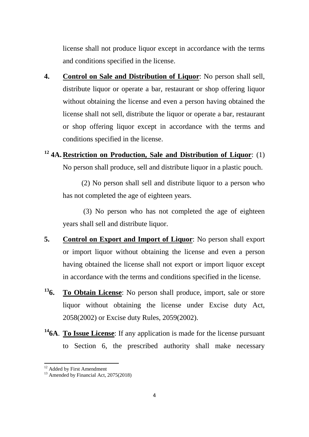license shall not produce liquor except in accordance with the terms and conditions specified in the license.

**4. Control on Sale and Distribution of Liquor**: No person shall sell, distribute liquor or operate a bar, restaurant or shop offering liquor without obtaining the license and even a person having obtained the license shall not sell, distribute the liquor or operate a bar, restaurant or shop offering liquor except in accordance with the terms and conditions specified in the license.

**[12](#page-3-0) 4A. Restriction on Production, Sale and Distribution of Liquor**: (1) No person shall produce, sell and distribute liquor in a plastic pouch.

(2) No person shall sell and distribute liquor to a person who has not completed the age of eighteen years.

(3) No person who has not completed the age of eighteen years shall sell and distribute liquor.

- **5. Control on Export and Import of Liquor**: No person shall export or import liquor without obtaining the license and even a person having obtained the license shall not export or import liquor except in accordance with the terms and conditions specified in the license.
- **[136](#page-3-1). To Obtain License**: No person shall produce, import, sale or store liquor without obtaining the license under Excise duty Act, 2058(2002) or Excise duty Rules, 2059(2002).
- **[146](#page-3-2)A**. **To Issue License**: If any application is made for the license pursuant to Section 6, the prescribed authority shall make necessary

<span id="page-3-2"></span><span id="page-3-1"></span><span id="page-3-0"></span>

<sup>&</sup>lt;sup>12</sup> Added by First Amendment  $13$  Amended by Financial Act, 2075(2018)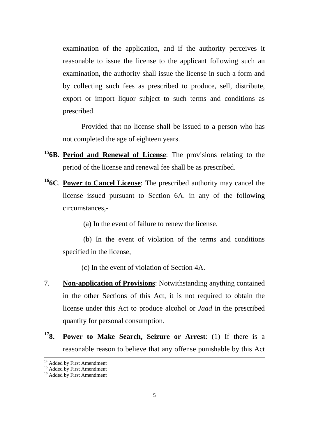examination of the application, and if the authority perceives it reasonable to issue the license to the applicant following such an examination, the authority shall issue the license in such a form and by collecting such fees as prescribed to produce, sell, distribute, export or import liquor subject to such terms and conditions as prescribed.

Provided that no license shall be issued to a person who has not completed the age of eighteen years.

- **[156](#page-4-0)B. Period and Renewal of License**: The provisions relating to the period of the license and renewal fee shall be as prescribed.
- **[166](#page-4-1)C**. **Power to Cancel License**: The prescribed authority may cancel the license issued pursuant to Section 6A. in any of the following circumstances,-

(a) In the event of failure to renew the license,

(b) In the event of violation of the terms and conditions specified in the license,

(c) In the event of violation of Section 4A.

- 7. **Non-application of Provisions**: Notwithstanding anything contained in the other Sections of this Act, it is not required to obtain the license under this Act to produce alcohol or *Jaad* in the prescribed quantity for personal consumption.
- **[178](#page-4-1). Power to Make Search, Seizure or Arrest**: (1) If there is a reasonable reason to believe that any offense punishable by this Act

 $\overline{a}$ 

<span id="page-4-0"></span><sup>&</sup>lt;sup>14</sup> Added by First Amendment<br><sup>15</sup> Added by First Amendment<br><sup>16</sup> Added by First Amendment

<span id="page-4-1"></span>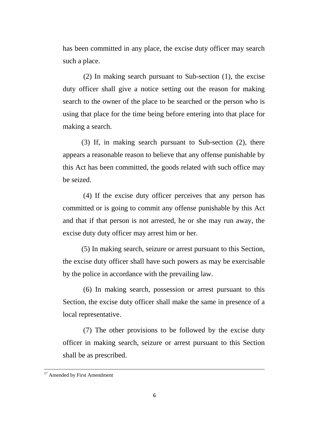has been committed in any place, the excise duty officer may search such a place.

(2) In making search pursuant to Sub-section (1), the excise duty officer shall give a notice setting out the reason for making search to the owner of the place to be searched or the person who is using that place for the time being before entering into that place for making a search.

(3) If, in making search pursuant to Sub-section (2), there appears a reasonable reason to believe that any offense punishable by this Act has been committed, the goods related with such office may be seized.

(4) If the excise duty officer perceives that any person has committed or is going to commit any offense punishable by this Act and that if that person is not arrested, he or she may run away, the excise duty duty officer may arrest him or her.

(5) In making search, seizure or arrest pursuant to this Section, the excise duty officer shall have such powers as may be exercisable by the police in accordance with the prevailing law.

(6) In making search, possession or arrest pursuant to this Section, the excise duty officer shall make the same in presence of a local representative.

(7) The other provisions to be followed by the excise duty officer in making search, seizure or arrest pursuant to this Section shall be as prescribed.

**.** 

<sup>&</sup>lt;sup>17</sup> Amended by First Amendment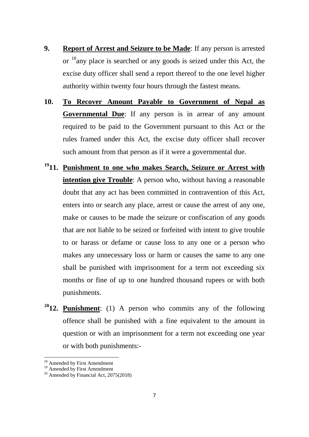- **9. Report of Arrest and Seizure to be Made**: If any person is arrested or <sup>18</sup>any place is searched or any goods is seized under this Act, the excise duty officer shall send a report thereof to the one level higher authority within twenty four hours through the fastest means.
- **10. To Recover Amount Payable to Government of Nepal as Governmental Due**: If any person is in arrear of any amount required to be paid to the Government pursuant to this Act or the rules framed under this Act, the excise duty officer shall recover such amount from that person as if it were a governmental due.
- **[191](#page-6-1)1. Punishment to one who makes Search, Seizure or Arrest with intention give Trouble**: A person who, without having a reasonable doubt that any act has been committed in contravention of this Act, enters into or search any place, arrest or cause the arrest of any one, make or causes to be made the seizure or confiscation of any goods that are not liable to be seized or forfeited with intent to give trouble to or harass or defame or cause loss to any one or a person who makes any unnecessary loss or harm or causes the same to any one shall be punished with imprisonment for a term not exceeding six months or fine of up to one hundred thousand rupees or with both punishments.
- **[201](#page-6-2)2. Punishment**: (1) A person who commits any of the following offence shall be punished with a fine equivalent to the amount in question or with an imprisonment for a term not exceeding one year or with both punishments:-

<sup>&</sup>lt;sup>18</sup> Amended by First Amendment  $\overline{a}$ 

<span id="page-6-2"></span><span id="page-6-1"></span><span id="page-6-0"></span><sup>&</sup>lt;sup>19</sup> Amended by First Amendment  $^{20}$  Amended by Financial Act, 2075(2018)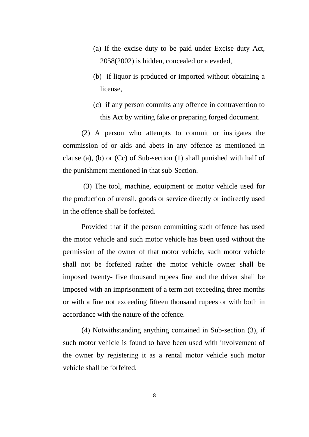- (a) If the excise duty to be paid under Excise duty Act, 2058(2002) is hidden, concealed or a evaded,
- (b) if liquor is produced or imported without obtaining a license,
- (c) if any person commits any offence in contravention to this Act by writing fake or preparing forged document.

(2) A person who attempts to commit or instigates the commission of or aids and abets in any offence as mentioned in clause (a), (b) or (Cc) of Sub-section (1) shall punished with half of the punishment mentioned in that sub-Section.

(3) The tool, machine, equipment or motor vehicle used for the production of utensil, goods or service directly or indirectly used in the offence shall be forfeited.

Provided that if the person committing such offence has used the motor vehicle and such motor vehicle has been used without the permission of the owner of that motor vehicle, such motor vehicle shall not be forfeited rather the motor vehicle owner shall be imposed twenty- five thousand rupees fine and the driver shall be imposed with an imprisonment of a term not exceeding three months or with a fine not exceeding fifteen thousand rupees or with both in accordance with the nature of the offence.

(4) Notwithstanding anything contained in Sub-section (3), if such motor vehicle is found to have been used with involvement of the owner by registering it as a rental motor vehicle such motor vehicle shall be forfeited.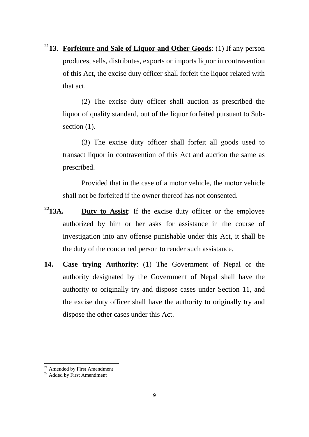**[211](#page-8-0)3**. **Forfeiture and Sale of Liquor and Other Goods**: (1) If any person produces, sells, distributes, exports or imports liquor in contravention of this Act, the excise duty officer shall forfeit the liquor related with that act.

(2) The excise duty officer shall auction as prescribed the liquor of quality standard, out of the liquor forfeited pursuant to Subsection  $(1)$ .

(3) The excise duty officer shall forfeit all goods used to transact liquor in contravention of this Act and auction the same as prescribed.

Provided that in the case of a motor vehicle, the motor vehicle shall not be forfeited if the owner thereof has not consented.

- **[221](#page-8-1)3A. Duty to Assist**: If the excise duty officer or the employee authorized by him or her asks for assistance in the course of investigation into any offense punishable under this Act, it shall be the duty of the concerned person to render such assistance.
- **14. Case trying Authority**: (1) The Government of Nepal or the authority designated by the Government of Nepal shall have the authority to originally try and dispose cases under Section 11, and the excise duty officer shall have the authority to originally try and dispose the other cases under this Act.

<span id="page-8-0"></span> $^{21}$  Amended by First Amendment  $^{22}$  Added by First Amendment

<span id="page-8-1"></span>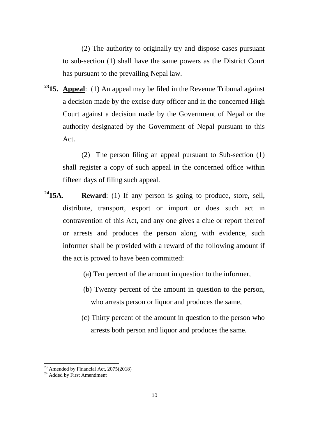(2) The authority to originally try and dispose cases pursuant to sub-section (1) shall have the same powers as the District Court has pursuant to the prevailing Nepal law.

**[231](#page-9-0)5. Appeal**: (1) An appeal may be filed in the Revenue Tribunal against a decision made by the excise duty officer and in the concerned High Court against a decision made by the Government of Nepal or the authority designated by the Government of Nepal pursuant to this Act.

(2) The person filing an appeal pursuant to Sub-section (1) shall register a copy of such appeal in the concerned office within fifteen days of filing such appeal.

- **[241](#page-9-1)5A. Reward**: (1) If any person is going to produce, store, sell, distribute, transport, export or import or does such act in contravention of this Act, and any one gives a clue or report thereof or arrests and produces the person along with evidence, such informer shall be provided with a reward of the following amount if the act is proved to have been committed:
	- (a) Ten percent of the amount in question to the informer,
	- (b) Twenty percent of the amount in question to the person, who arrests person or liquor and produces the same,
	- (c) Thirty percent of the amount in question to the person who arrests both person and liquor and produces the same.

<span id="page-9-0"></span><sup>&</sup>lt;sup>23</sup> Amended by Financial Act, 2075(2018)<sup>24</sup> Added by First Amendment

<span id="page-9-1"></span>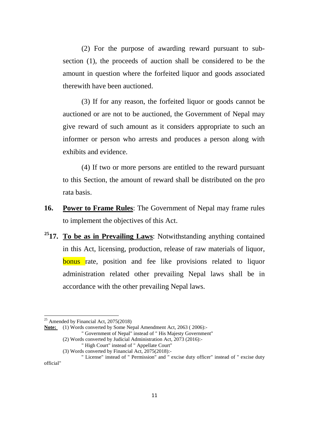(2) For the purpose of awarding reward pursuant to subsection (1), the proceeds of auction shall be considered to be the amount in question where the forfeited liquor and goods associated therewith have been auctioned.

(3) If for any reason, the forfeited liquor or goods cannot be auctioned or are not to be auctioned, the Government of Nepal may give reward of such amount as it considers appropriate to such an informer or person who arrests and produces a person along with exhibits and evidence.

(4) If two or more persons are entitled to the reward pursuant to this Section, the amount of reward shall be distributed on the pro rata basis.

- **16. Power to Frame Rules**: The Government of Nepal may frame rules to implement the objectives of this Act.
- **[251](#page-10-0)7. To be as in Prevailing Laws**: Notwithstanding anything contained in this Act, licensing, production, release of raw materials of liquor, **bonus** rate, position and fee like provisions related to liquor administration related other prevailing Nepal laws shall be in accordance with the other prevailing Nepal laws.

<span id="page-10-0"></span> $25$  Amended by Financial Act, 2075(2018)

**Note:** (1) Words converted by Some Nepal Amendment Act, 2063 ( 2006):-

<sup>&</sup>quot; Government of Nepal" instead of " His Majesty Government"

<sup>(2)</sup> Words converted by Judicial Administration Act, 2073 (2016):-

<sup>&</sup>quot; High Court" instead of " Appellate Court" (3) Words converted by Financial Act, 2075(2018):-

<sup>&</sup>quot; License" instead of " Permission" and " excise duty officer" instead of " excise duty official"